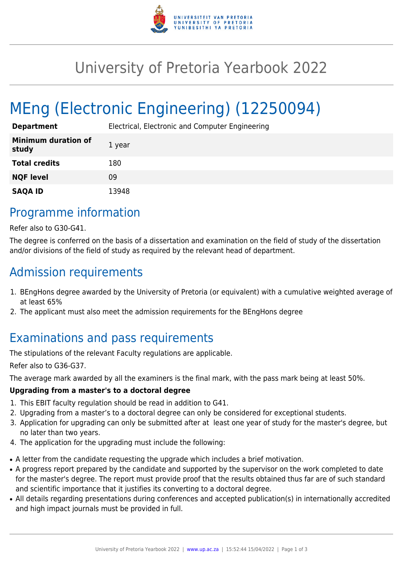

## University of Pretoria Yearbook 2022

# MEng (Electronic Engineering) (12250094)

| <b>Department</b>                   | Electrical, Electronic and Computer Engineering |
|-------------------------------------|-------------------------------------------------|
| <b>Minimum duration of</b><br>study | 1 year                                          |
| <b>Total credits</b>                | 180                                             |
| <b>NQF level</b>                    | 09                                              |
| <b>SAQA ID</b>                      | 13948                                           |

### Programme information

Refer also to G30-G41.

The degree is conferred on the basis of a dissertation and examination on the field of study of the dissertation and/or divisions of the field of study as required by the relevant head of department.

### Admission requirements

- 1. BEngHons degree awarded by the University of Pretoria (or equivalent) with a cumulative weighted average of at least 65%
- 2. The applicant must also meet the admission requirements for the BEngHons degree

### Examinations and pass requirements

The stipulations of the relevant Faculty regulations are applicable.

Refer also to G36-G37.

The average mark awarded by all the examiners is the final mark, with the pass mark being at least 50%.

#### **Upgrading from a master's to a doctoral degree**

- 1. This EBIT faculty regulation should be read in addition to G41.
- 2. Upgrading from a master's to a doctoral degree can only be considered for exceptional students.
- 3. Application for upgrading can only be submitted after at least one year of study for the master's degree, but no later than two years.
- 4. The application for the upgrading must include the following:
- A letter from the candidate requesting the upgrade which includes a brief motivation.
- A progress report prepared by the candidate and supported by the supervisor on the work completed to date for the master's degree. The report must provide proof that the results obtained thus far are of such standard and scientific importance that it justifies its converting to a doctoral degree.
- All details regarding presentations during conferences and accepted publication(s) in internationally accredited and high impact journals must be provided in full.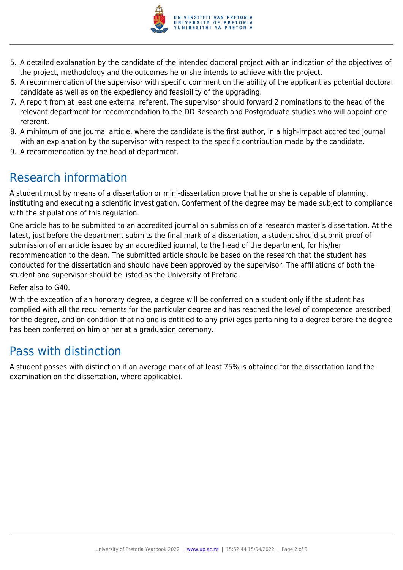

- 5. A detailed explanation by the candidate of the intended doctoral project with an indication of the objectives of the project, methodology and the outcomes he or she intends to achieve with the project.
- 6. A recommendation of the supervisor with specific comment on the ability of the applicant as potential doctoral candidate as well as on the expediency and feasibility of the upgrading.
- 7. A report from at least one external referent. The supervisor should forward 2 nominations to the head of the relevant department for recommendation to the DD Research and Postgraduate studies who will appoint one referent.
- 8. A minimum of one journal article, where the candidate is the first author, in a high-impact accredited journal with an explanation by the supervisor with respect to the specific contribution made by the candidate.
- 9. A recommendation by the head of department.

## Research information

A student must by means of a dissertation or mini-dissertation prove that he or she is capable of planning, instituting and executing a scientific investigation. Conferment of the degree may be made subject to compliance with the stipulations of this regulation.

One article has to be submitted to an accredited journal on submission of a research master's dissertation. At the latest, just before the department submits the final mark of a dissertation, a student should submit proof of submission of an article issued by an accredited journal, to the head of the department, for his/her recommendation to the dean. The submitted article should be based on the research that the student has conducted for the dissertation and should have been approved by the supervisor. The affiliations of both the student and supervisor should be listed as the University of Pretoria.

Refer also to G40.

With the exception of an honorary degree, a degree will be conferred on a student only if the student has complied with all the requirements for the particular degree and has reached the level of competence prescribed for the degree, and on condition that no one is entitled to any privileges pertaining to a degree before the degree has been conferred on him or her at a graduation ceremony.

### Pass with distinction

A student passes with distinction if an average mark of at least 75% is obtained for the dissertation (and the examination on the dissertation, where applicable).